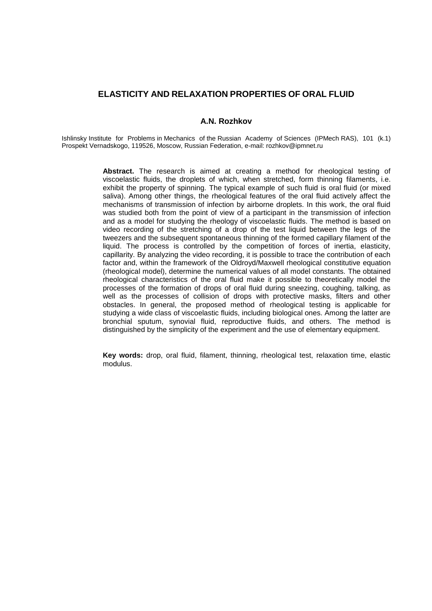# **ELASTICITY AND RELAXATION PROPERTIES OF ORAL FLUID**

### **A.N. Rozhkov**

Ishlinsky Institute for Problems in Mechanics of the Russian Academy of Sciences (IPMech RAS), 101 (k.1) Prospekt Vernadskogo, 119526, Moscow, Russian Federation, e-mail: rozhkov@ipmnet.ru

> **Abstract.** The research is aimed at creating a method for rheological testing of viscoelastic fluids, the droplets of which, when stretched, form thinning filaments, i.e. exhibit the property of spinning. The typical example of such fluid is oral fluid (or mixed saliva). Among other things, the rheological features of the oral fluid actively affect the mechanisms of transmission of infection by airborne droplets. In this work, the oral fluid was studied both from the point of view of a participant in the transmission of infection and as a model for studying the rheology of viscoelastic fluids. The method is based on video recording of the stretching of a drop of the test liquid between the legs of the tweezers and the subsequent spontaneous thinning of the formed capillary filament of the liquid. The process is controlled by the competition of forces of inertia, elasticity, capillarity. By analyzing the video recording, it is possible to trace the contribution of each factor and, within the framework of the Oldroyd/Maxwell rheological constitutive equation (rheological model), determine the numerical values of all model constants. The obtained rheological characteristics of the oral fluid make it possible to theoretically model the processes of the formation of drops of oral fluid during sneezing, coughing, talking, as well as the processes of collision of drops with protective masks, filters and other obstacles. In general, the proposed method of rheological testing is applicable for studying a wide class of viscoelastic fluids, including biological ones. Among the latter are bronchial sputum, synovial fluid, reproductive fluids, and others. The method is distinguished by the simplicity of the experiment and the use of elementary equipment.

> **Key words:** drop, oral fluid, filament, thinning, rheological test, relaxation time, elastic modulus.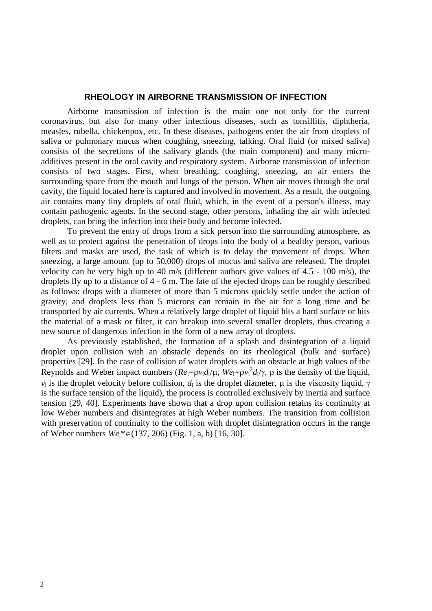## **RHEOLOGY IN AIRBORNE TRANSMISSION OF INFECTION**

Airborne transmission of infection is the main one not only for the current coronavirus, but also for many other infectious diseases, such as tonsillitis, diphtheria, measles, rubella, chickenpox, etc. In these diseases, pathogens enter the air from droplets of saliva or pulmonary mucus when coughing, sneezing, talking. Oral fluid (or mixed saliva) consists of the secretions of the salivary glands (the main component) and many microadditives present in the oral cavity and respiratory system. Airborne transmission of infection consists of two stages. First, when breathing, coughing, sneezing, an air enters the surrounding space from the mouth and lungs of the person. When air moves through the oral cavity, the liquid located here is captured and involved in movement. As a result, the outgoing air contains many tiny droplets of oral fluid, which, in the event of a person's illness, may contain pathogenic agents. In the second stage, other persons, inhaling the air with infected droplets, can bring the infection into their body and become infected.

To prevent the entry of drops from a sick person into the surrounding atmosphere, as well as to protect against the penetration of drops into the body of a healthy person, various filters and masks are used, the task of which is to delay the movement of drops. When sneezing, a large amount (up to 50,000) drops of mucus and saliva are released. The droplet velocity can be very high up to 40 m/s (different authors give values of 4.5 - 100 m/s), the droplets fly up to a distance of 4 - 6 m. The fate of the ejected drops can be roughly described as follows: drops with a diameter of more than 5 microns quickly settle under the action of gravity, and droplets less than 5 microns can remain in the air for a long time and be transported by air currents. When a relatively large droplet of liquid hits a hard surface or hits the material of a mask or filter, it can breakup into several smaller droplets, thus creating a new source of dangerous infection in the form of a new array of droplets.

As previously established, the formation of a splash and disintegration of a liquid droplet upon collision with an obstacle depends on its rheological (bulk and surface) properties [\[29\]](#page-14-0). In the case of collision of water droplets with an obstacle at high values of the Reynolds and Weber impact numbers  $(Re_i = \rho v_i d_i/\mu, We_i = \rho v_i^2 d_i/\gamma, \rho$  is the density of the liquid,  $v_i$  is the droplet velocity before collision,  $d_i$  is the droplet diameter,  $\mu$  is the viscosity liquid,  $\gamma$ is the surface tension of the liquid), the process is controlled exclusively by inertia and surface tension [\[29,](#page-14-0) [40\]](#page-14-1). Experiments have shown that a drop upon collision retains its continuity at low Weber numbers and disintegrates at high Weber numbers. The transition from collision with preservation of continuity to the collision with droplet disintegration occurs in the range of Weber numbers  $We_i^* \in (137, 206)$  (Fig. 1, a, b) [\[16,](#page-13-0) [30\]](#page-14-2).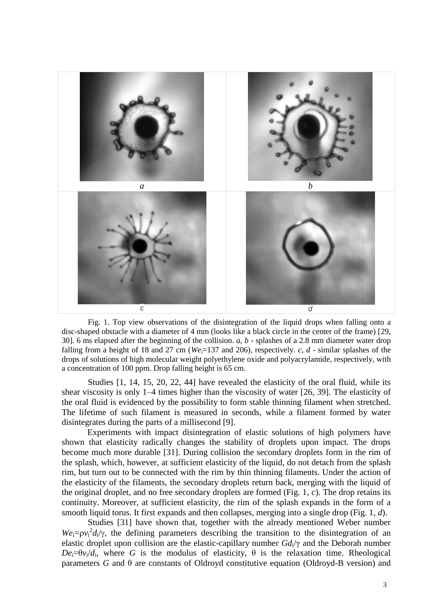

Fig. 1. Top view observations of the disintegration of the liquid drops when falling onto a disc-shaped obstacle with a diameter of 4 mm (looks like a black circle in the center of the frame) [\[29,](#page-14-0) [30\]](#page-14-2). 6 ms elapsed after the beginning of the collision. *a*, *b* - splashes of a 2.8 mm diameter water drop falling from a height of 18 and 27 cm ( $We<sub>i</sub>=137$  and 206), respectively. *c*, *d* - similar splashes of the drops of solutions of high molecular weight polyethylene oxide and polyacrylamide, respectively, with a concentration of 100 ppm. Drop falling height is 65 cm.

Studies [\[1,](#page-13-1) [14,](#page-13-2) [15,](#page-13-3) [20,](#page-13-4) [22,](#page-13-5) [44\]](#page-14-3) have revealed the elasticity of the oral fluid, while its shear viscosity is only 1–4 times higher than the viscosity of water [\[26,](#page-13-6) [39\]](#page-14-4). The elasticity of the oral fluid is evidenced by the possibility to form stable thinning filament when stretched. The lifetime of such filament is measured in seconds, while a filament formed by water disintegrates during the parts of a millisecond [\[9\]](#page-13-7).

Experiments with impact disintegration of elastic solutions of high polymers have shown that elasticity radically changes the stability of droplets upon impact. The drops become much more durable [\[31\]](#page-14-5). During collision the secondary droplets form in the rim of the splash, which, however, at sufficient elasticity of the liquid, do not detach from the splash rim, but turn out to be connected with the rim by thin thinning filaments. Under the action of the elasticity of the filaments, the secondary droplets return back, merging with the liquid of the original droplet, and no free secondary droplets are formed (Fig. 1, *c*). The drop retains its continuity. Moreover, at sufficient elasticity, the rim of the splash expands in the form of a smooth liquid torus. It first expands and then collapses, merging into a single drop (Fig. 1, *d*).

Studies [\[31\]](#page-14-5) have shown that, together with the already mentioned Weber number  $We_i = \rho v_i^2 d_i / \gamma$ , the defining parameters describing the transition to the disintegration of an elastic droplet upon collision are the elastic-capillary number *Gd*i/γ and the Deborah number  $De_i = \theta v_i/d_i$ , where *G* is the modulus of elasticity,  $\theta$  is the relaxation time. Rheological parameters *G* and θ are constants of Oldroyd constitutive equation (Oldroyd-B version) and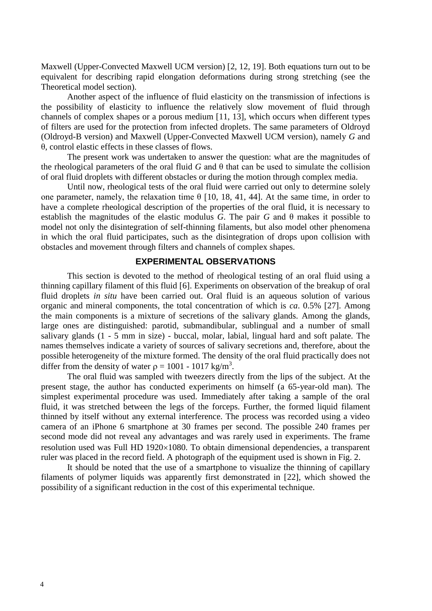Maxwell (Upper-Convected Maxwell UCM version) [\[2,](#page-13-8) [12,](#page-13-9) [19\]](#page-13-10). Both equations turn out to be equivalent for describing rapid elongation deformations during strong stretching (see the Theoretical model section).

Another aspect of the influence of fluid elasticity on the transmission of infections is the possibility of elasticity to influence the relatively slow movement of fluid through channels of complex shapes or a porous medium [\[11,](#page-13-11) [13\]](#page-13-12), which occurs when different types of filters are used for the protection from infected droplets. The same parameters of Oldroyd (Oldroyd-B version) and Maxwell (Upper-Convected Maxwell UCM version), namely *G* and θ, control elastic effects in these classes of flows.

The present work was undertaken to answer the question: what are the magnitudes of the rheological parameters of the oral fluid *G* and  $θ$  that can be used to simulate the collision of oral fluid droplets with different obstacles or during the motion through complex media.

Until now, rheological tests of the oral fluid were carried out only to determine solely one parameter, namely, the relaxation time  $\theta$  [\[10,](#page-13-13) [18,](#page-13-14) [41,](#page-14-6) [44\]](#page-14-3). At the same time, in order to have a complete rheological description of the properties of the oral fluid, it is necessary to establish the magnitudes of the elastic modulus *G*. The pair *G* and θ makes it possible to model not only the disintegration of self-thinning filaments, but also model other phenomena in which the oral fluid participates, such as the disintegration of drops upon collision with obstacles and movement through filters and channels of complex shapes.

## **EXPERIMENTAL OBSERVATIONS**

This section is devoted to the method of rheological testing of an oral fluid using a thinning capillary filament of this fluid [\[6\]](#page-13-15). Experiments on observation of the breakup of oral fluid droplets *in situ* have been carried out. Oral fluid is an aqueous solution of various organic and mineral components, the total concentration of which is *ca*. 0.5% [\[27\]](#page-14-7). Among the main components is a mixture of secretions of the salivary glands. Among the glands, large ones are distinguished: parotid, submandibular, sublingual and a number of small salivary glands (1 - 5 mm in size) - buccal, molar, labial, lingual hard and soft palate. The names themselves indicate a variety of sources of salivary secretions and, therefore, about the possible heterogeneity of the mixture formed. The density of the oral fluid practically does not differ from the density of water  $\rho = 1001 - 1017 \text{ kg/m}^3$ .

The oral fluid was sampled with tweezers directly from the lips of the subject. At the present stage, the author has conducted experiments on himself (a 65-year-old man). The simplest experimental procedure was used. Immediately after taking a sample of the oral fluid, it was stretched between the legs of the forceps. Further, the formed liquid filament thinned by itself without any external interference. The process was recorded using a video camera of an iPhone 6 smartphone at 30 frames per second. The possible 240 frames per second mode did not reveal any advantages and was rarely used in experiments. The frame resolution used was Full HD  $1920\times1080$ . To obtain dimensional dependencies, a transparent ruler was placed in the record field. A photograph of the equipment used is shown in Fig. 2.

It should be noted that the use of a smartphone to visualize the thinning of capillary filaments of polymer liquids was apparently first demonstrated in [\[22\]](#page-13-5), which showed the possibility of a significant reduction in the cost of this experimental technique.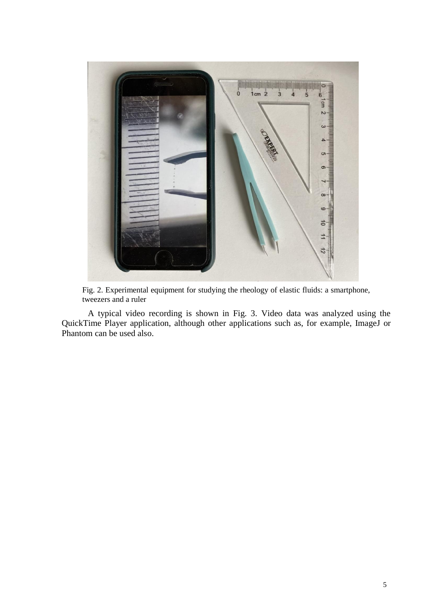

Fig. 2. Experimental equipment for studying the rheology of elastic fluids: a smartphone, tweezers and a ruler

A typical video recording is shown in Fig. 3. Video data was analyzed using the QuickTime Player application, although other applications such as, for example, ImageJ or Phantom can be used also.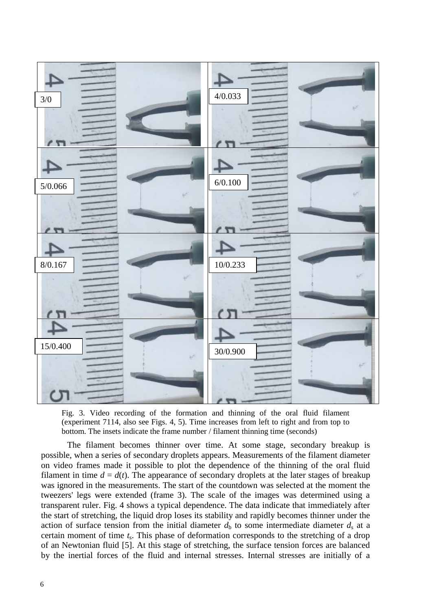

Fig. 3. Video recording of the formation and thinning of the oral fluid filament (experiment 7114, also see Figs. 4, 5). Time increases from left to right and from top to bottom. The insets indicate the frame number / filament thinning time (seconds)

The filament becomes thinner over time. At some stage, secondary breakup is possible, when a series of secondary droplets appears. Measurements of the filament diameter on video frames made it possible to plot the dependence of the thinning of the oral fluid filament in time  $d = d(t)$ . The appearance of secondary droplets at the later stages of breakup was ignored in the measurements. The start of the countdown was selected at the moment the tweezers' legs were extended (frame 3). The scale of the images was determined using a transparent ruler. Fig. 4 shows a typical dependence. The data indicate that immediately after the start of stretching, the liquid drop loses its stability and rapidly becomes thinner under the action of surface tension from the initial diameter  $d<sub>b</sub>$  to some intermediate diameter  $d<sub>s</sub>$  at a certain moment of time *t*s. This phase of deformation corresponds to the stretching of a drop of an Newtonian fluid [\[5\]](#page-13-16). At this stage of stretching, the surface tension forces are balanced by the inertial forces of the fluid and internal stresses. Internal stresses are initially of a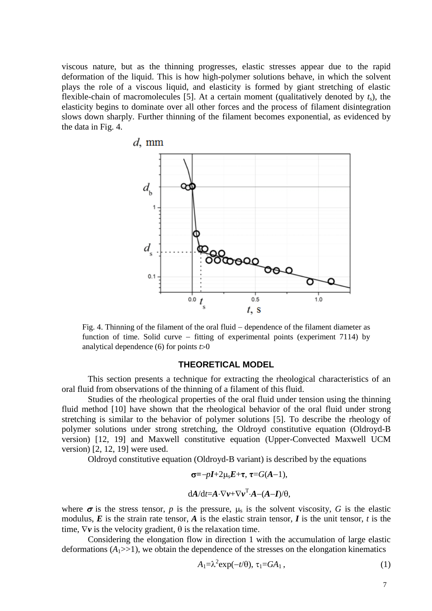viscous nature, but as the thinning progresses, elastic stresses appear due to the rapid deformation of the liquid. This is how high-polymer solutions behave, in which the solvent plays the role of a viscous liquid, and elasticity is formed by giant stretching of elastic flexible-chain of macromolecules [\[5\]](#page-13-16). At a certain moment (qualitatively denoted by  $t_s$ ), the elasticity begins to dominate over all other forces and the process of filament disintegration slows down sharply. Further thinning of the filament becomes exponential, as evidenced by the data in Fig. 4.



Fig. 4. Thinning of the filament of the oral fluid  $-$  dependence of the filament diameter as function of time. Solid curve  $-$  fitting of experimental points (experiment 7114) by analytical dependence  $(6)$  for points  $t>0$ 

#### **THEORETICAL MODEL**

This section presents a technique for extracting the rheological characteristics of an oral fluid from observations of the thinning of a filament of this fluid.

Studies of the rheological properties of the oral fluid under tension using the thinning fluid method [\[10\]](#page-13-13) have shown that the rheological behavior of the oral fluid under strong stretching is similar to the behavior of polymer solutions [\[5\]](#page-13-16). To describe the rheology of polymer solutions under strong stretching, the Oldroyd constitutive equation (Oldroyd-B version) [\[12,](#page-13-9) [19\]](#page-13-10) and Maxwell constitutive equation (Upper-Convected Maxwell UCM version) [\[2,](#page-13-8) [12,](#page-13-9) [19\]](#page-13-10) were used.

Oldroyd constitutive equation (Oldroyd-B variant) is described by the equations

$$
\sigma = -pI + 2\mu_s E + \tau, \ \tau = G(A-1),
$$
  

$$
dA/dt = A \cdot \nabla \nu + \nabla \nu^T \cdot A - (A-I)/\theta,
$$

where  $\sigma$  is the stress tensor, *p* is the pressure,  $\mu_s$  is the solvent viscosity, *G* is the elastic modulus,  $E$  is the strain rate tensor,  $A$  is the elastic strain tensor,  $I$  is the unit tensor,  $t$  is the time,  $\nabla v$  is the velocity gradient,  $\theta$  is the relaxation time.

Considering the elongation flow in direction 1 with the accumulation of large elastic deformations  $(A_1 \gg 1)$ , we obtain the dependence of the stresses on the elongation kinematics

$$
A_1 = \lambda^2 \exp(-t/\theta), \tau_1 = GA_1,
$$
\n(1)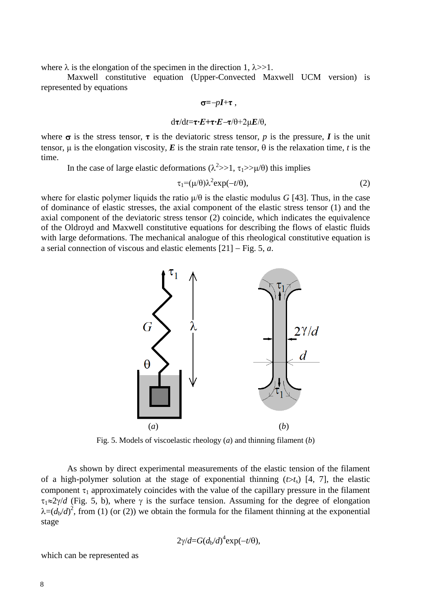where  $\lambda$  is the elongation of the specimen in the direction 1,  $\lambda \gg 1$ .

Maxwell constitutive equation (Upper-Convected Maxwell UCM version) is represented by equations

$$
\sigma = -pI + \tau ,
$$
  
\n
$$
d\tau/dt = \tau \cdot E + \tau \cdot E - \tau/\theta + 2\mu E/\theta,
$$

where  $\sigma$  is the stress tensor,  $\tau$  is the deviatoric stress tensor, *p* is the pressure, *I* is the unit tensor, μ is the elongation viscosity, *E* is the strain rate tensor,  $θ$  is the relaxation time, *t* is the time.

In the case of large elastic deformations ( $\lambda^2 >> 1$ ,  $\tau_1 >> \mu/\theta$ ) this implies

$$
\tau_1 = (\mu/\theta)\lambda^2 \exp(-t/\theta), \qquad (2)
$$

where for elastic polymer liquids the ratio  $\mu/\theta$  is the elastic modulus *G* [\[43\]](#page-14-8). Thus, in the case of dominance of elastic stresses, the axial component of the elastic stress tensor (1) and the axial component of the deviatoric stress tensor (2) coincide, which indicates the equivalence of the Oldroyd and Maxwell constitutive equations for describing the flows of elastic fluids with large deformations. The mechanical analogue of this rheological constitutive equation is a serial connection of viscous and elastic elements [\[21\]](#page-13-17) Fig. 5, *a*.



Fig. 5. Models of viscoelastic rheology (*a*) and thinning filament (*b*)

As shown by direct experimental measurements of the elastic tension of the filament of a high-polymer solution at the stage of exponential thinning  $(t>t<sub>s</sub>)$  [\[4,](#page-13-18) [7\]](#page-13-19), the elastic component  $\tau_1$  approximately coincides with the value of the capillary pressure in the filament  $\tau_1 \approx 2\gamma/d$  (Fig. 5, b), where  $\gamma$  is the surface tension. Assuming for the degree of elongation  $\lambda = (d_b/d)^2$ , from (1) (or (2)) we obtain the formula for the filament thinning at the exponential stage

$$
2\gamma/d = G(d_b/d)^4 \exp(-t/\theta),
$$

which can be represented as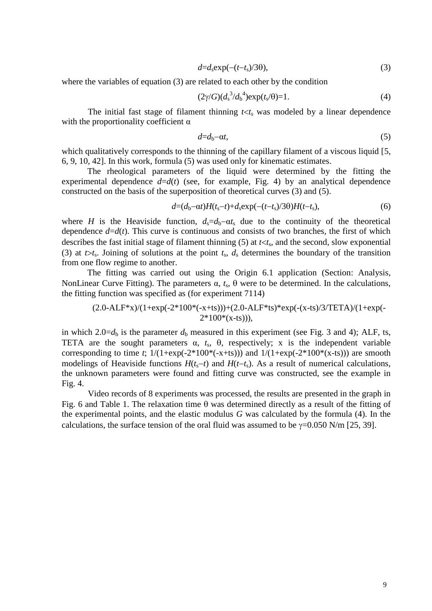$$
d = d_s \exp(-(t - t_s)/3\theta),\tag{3}
$$

where the variables of equation (3) are related to each other by the condition

$$
(2\gamma/G)(d_s^3/d_b^4) \exp(t_s/\theta) = 1.
$$
 (4)

The initial fast stage of filament thinning  $t < t_s$  was modeled by a linear dependence with the proportionality coefficient  $\alpha$ 

$$
d=d_{b}-\alpha t,\tag{5}
$$

which qualitatively corresponds to the thinning of the capillary filament of a viscous liquid [\[5,](#page-13-16) [6,](#page-13-15) [9,](#page-13-7) [10,](#page-13-13) [42\]](#page-14-9). In this work, formula (5) was used only for kinematic estimates.

The rheological parameters of the liquid were determined by the fitting the experimental dependence  $d=d(t)$  (see, for example, Fig. 4) by an analytical dependence constructed on the basis of the superposition of theoretical curves (3) and (5).

$$
d=(d_b-\alpha t)H(t_s-t)+d_s \exp(-(t-t_s)/3\theta)H(t-t_s), \qquad (6)
$$

where *H* is the Heaviside function,  $d_s = d_b - \alpha t_s$  due to the continuity of the theoretical dependence  $d=d(t)$ . This curve is continuous and consists of two branches, the first of which describes the fast initial stage of filament thinning  $(5)$  at  $t < t_s$ , and the second, slow exponential (3) at  $t>t_s$ . Joining of solutions at the point  $t_s$ ,  $d_s$  determines the boundary of the transition from one flow regime to another.

The fitting was carried out using the Origin 6.1 application (Section: Analysis, NonLinear Curve Fitting). The parameters  $\alpha$ ,  $t_s$ ,  $\theta$  were to be determined. In the calculations, the fitting function was specified as (for experiment 7114)

$$
(2.0-ALF*x)/(1+exp(-2*100*(-x+ts)))+(2.0-ALF*ts)*exp(-(x-ts)/3/TETA)/(1+exp(-2*100*(x-ts))),
$$

in which 2.0= $d_b$  is the parameter  $d_b$  measured in this experiment (see Fig. 3 and 4); ALF, ts, TETA are the sought parameters  $\alpha$ ,  $t_s$ ,  $\theta$ , respectively; x is the independent variable corresponding to time *t*;  $1/(1+\exp(-2*100*(-x+ts)))$  and  $1/(1+\exp(-2*100*(-x+ts)))$  are smooth modelings of Heaviside functions  $H(t<sub>s</sub>-t)$  and  $H(t-t<sub>s</sub>)$ . As a result of numerical calculations, the unknown parameters were found and fitting curve was constructed, see the example in Fig. 4.

Video records of 8 experiments was processed, the results are presented in the graph in Fig. 6 and Table 1. The relaxation time  $\theta$  was determined directly as a result of the fitting of the experimental points, and the elastic modulus *G* was calculated by the formula (4). In the calculations, the surface tension of the oral fluid was assumed to be  $\gamma$ =0.050 N/m [\[25,](#page-13-20) [39\]](#page-14-4).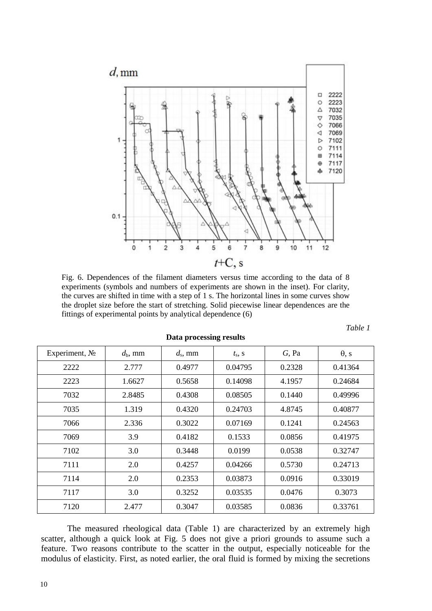

Fig. 6. Dependences of the filament diameters versus time according to the data of 8 experiments (symbols and numbers of experiments are shown in the inset). For clarity, the curves are shifted in time with a step of 1 s. The horizontal lines in some curves show the droplet size before the start of stretching. Solid piecewise linear dependences are the fittings of experimental points by analytical dependence (6)

| anı |  |
|-----|--|
|-----|--|

| Experiment, $N_2$ | $d_{\rm b}$ , mm | $d_{\rm s}$ , mm | $t_{\rm s}$ , S | $G$ , Pa | $\theta$ , s |
|-------------------|------------------|------------------|-----------------|----------|--------------|
| 2222              | 2.777            | 0.4977           | 0.04795         | 0.2328   | 0.41364      |
| 2223              | 1.6627           | 0.5658           | 0.14098         | 4.1957   | 0.24684      |
| 7032              | 2.8485           | 0.4308           | 0.08505         | 0.1440   | 0.49996      |
| 7035              | 1.319            | 0.4320           | 0.24703         | 4.8745   | 0.40877      |
| 7066              | 2.336            | 0.3022           | 0.07169         | 0.1241   | 0.24563      |
| 7069              | 3.9              | 0.4182           | 0.1533          | 0.0856   | 0.41975      |
| 7102              | 3.0              | 0.3448           | 0.0199          | 0.0538   | 0.32747      |
| 7111              | 2.0              | 0.4257           | 0.04266         | 0.5730   | 0.24713      |
| 7114              | 2.0              | 0.2353           | 0.03873         | 0.0916   | 0.33019      |
| 7117              | 3.0              | 0.3252           | 0.03535         | 0.0476   | 0.3073       |
| 7120              | 2.477            | 0.3047           | 0.03585         | 0.0836   | 0.33761      |

**Data processing results**

The measured rheological data (Table 1) are characterized by an extremely high scatter, although a quick look at Fig. 5 does not give a priori grounds to assume such a feature. Two reasons contribute to the scatter in the output, especially noticeable for the modulus of elasticity. First, as noted earlier, the oral fluid is formed by mixing the secretions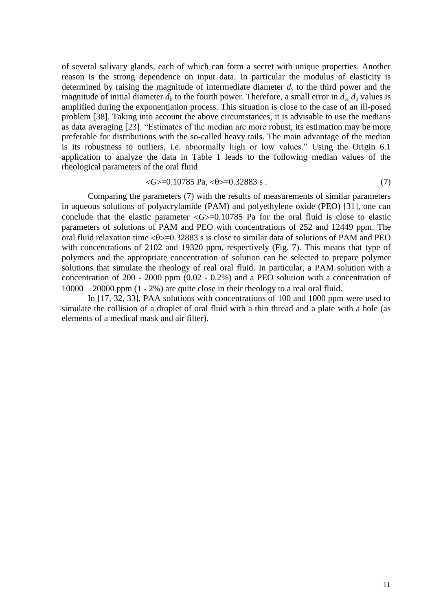of several salivary glands, each of which can form a secret with unique properties. Another reason is the strong dependence on input data. In particular the modulus of elasticity is determined by raising the magnitude of intermediate diameter  $d_s$  to the third power and the magnitude of initial diameter  $d_b$  to the fourth power. Therefore, a small error in  $d_s$ ,  $d_b$  values is amplified during the exponentiation process. This situation is close to the case of an ill-posed problem [\[38\]](#page-14-10). Taking into account the above circumstances, it is advisable to use the medians as data averaging [\[23\]](#page-13-21). "Estimates of the median are more robust, its estimation may be more preferable for distributions with the so-called heavy tails. The main advantage of the median is its robustness to outliers, i.e. abnormally high or low values." Using the Origin 6.1 application to analyze the data in Table 1 leads to the following median values of the rheological parameters of the oral fluid

$$
\langle G \rangle = 0.10785 \text{ Pa}, \langle \theta \rangle = 0.32883 \text{ s}. \tag{7}
$$

Comparing the parameters (7) with the results of measurements of similar parameters in aqueous solutions of polyacrylamide (PAM) and polyethylene oxide (PEO) [\[31\]](#page-14-5), one can conclude that the elastic parameter  $\langle G \rangle$ =0.10785 Pa for the oral fluid is close to elastic parameters of solutions of PAM and PEO with concentrations of 252 and 12449 ppm. The oral fluid relaxation time  $\langle \theta \rangle = 0.32883$  s is close to similar data of solutions of PAM and PEO with concentrations of 2102 and 19320 ppm, respectively (Fig. 7). This means that type of polymers and the appropriate concentration of solution can be selected to prepare polymer solutions that simulate the rheology of real oral fluid. In particular, a PAM solution with a concentration of 200 - 2000 ppm (0.02 - 0.2%) and a PEO solution with a concentration of  $10000 - 20000$  ppm  $(1 - 2\%)$  are quite close in their rheology to a real oral fluid.

In [\[17,](#page-13-22) [32,](#page-14-11) [33\]](#page-14-12), PAA solutions with concentrations of 100 and 1000 ppm were used to simulate the collision of a droplet of oral fluid with a thin thread and a plate with a hole (as elements of a medical mask and air filter).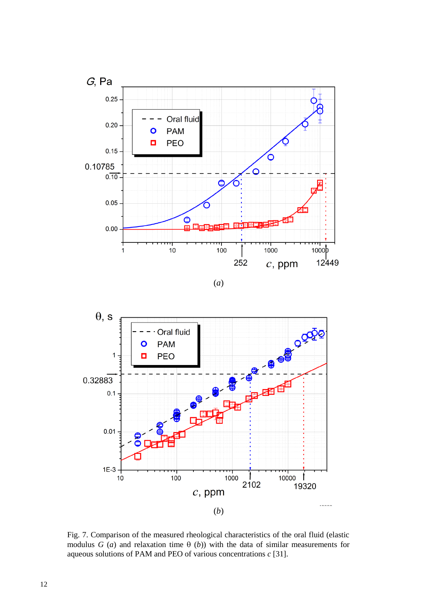

(*a*)



Fig. 7. Comparison of the measured rheological characteristics of the oral fluid (elastic modulus *G* (*a*) and relaxation time  $\theta$  (*b*)) with the data of similar measurements for aqueous solutions of PAM and PEO of various concentrations *c* [\[31\]](#page-14-5).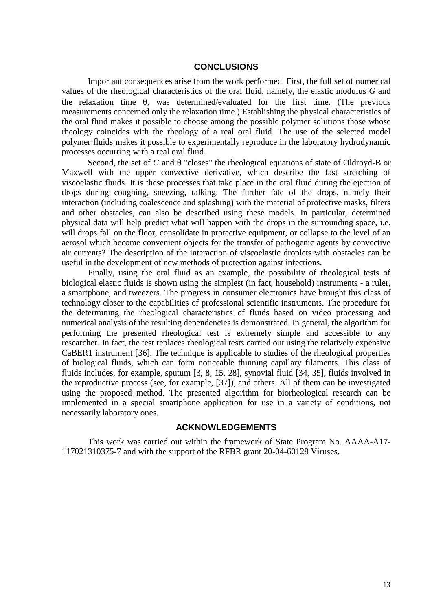## **CONCLUSIONS**

Important consequences arise from the work performed. First, the full set of numerical values of the rheological characteristics of the oral fluid, namely, the elastic modulus *G* and the relaxation time  $\theta$ , was determined/evaluated for the first time. (The previous measurements concerned only the relaxation time.) Establishing the physical characteristics of the oral fluid makes it possible to choose among the possible polymer solutions those whose rheology coincides with the rheology of a real oral fluid. The use of the selected model polymer fluids makes it possible to experimentally reproduce in the laboratory hydrodynamic processes occurring with a real oral fluid.

Second, the set of  $G$  and  $\theta$  "closes" the rheological equations of state of Oldroyd-B or Maxwell with the upper convective derivative, which describe the fast stretching of viscoelastic fluids. It is these processes that take place in the oral fluid during the ejection of drops during coughing, sneezing, talking. The further fate of the drops, namely their interaction (including coalescence and splashing) with the material of protective masks, filters and other obstacles, can also be described using these models. In particular, determined physical data will help predict what will happen with the drops in the surrounding space, i.e. will drops fall on the floor, consolidate in protective equipment, or collapse to the level of an aerosol which become convenient objects for the transfer of pathogenic agents by convective air currents? The description of the interaction of viscoelastic droplets with obstacles can be useful in the development of new methods of protection against infections.

Finally, using the oral fluid as an example, the possibility of rheological tests of biological elastic fluids is shown using the simplest (in fact, household) instruments - a ruler, a smartphone, and tweezers. The progress in consumer electronics have brought this class of technology closer to the capabilities of professional scientific instruments. The procedure for the determining the rheological characteristics of fluids based on video processing and numerical analysis of the resulting dependencies is demonstrated. In general, the algorithm for performing the presented rheological test is extremely simple and accessible to any researcher. In fact, the test replaces rheological tests carried out using the relatively expensive CaBER1 instrument [\[36\]](#page-14-13). The technique is applicable to studies of the rheological properties of biological fluids, which can form noticeable thinning capillary filaments. This class of fluids includes, for example, sputum [\[3,](#page-13-23) [8,](#page-13-24) [15,](#page-13-3) [28\]](#page-14-14), synovial fluid [\[34,](#page-14-15) [35\]](#page-14-16), fluids involved in the reproductive process (see, for example, [\[37\]](#page-14-17)), and others. All of them can be investigated using the proposed method. The presented algorithm for biorheological research can be implemented in a special smartphone application for use in a variety of conditions, not necessarily laboratory ones.

### **ACKNOWLEDGEMENTS**

This work was carried out within the framework of State Program No. AAAA-A17- 117021310375-7 and with the support of the RFBR grant 20-04-60128 Viruses.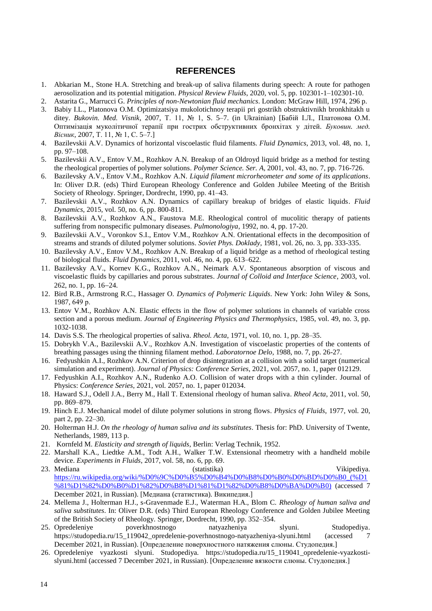## **REFERENCES**

- <span id="page-13-1"></span>1. Abkarian M., Stone H.A. Stretching and break-up of saliva filaments during speech: A route for pathogen aerosolization and its potential mitigation. *Physical Review Fluids*, 2020, vol. 5, pp. 102301-1–102301-10.
- <span id="page-13-8"></span>2. Astarita G., Marrucci G. *Principles of non-Newtonian fluid mechanics*. London: McGraw Hill, 1974, 296 p.
- <span id="page-13-23"></span>3. Babiy I.L., Platonova O.M. Optimizatsiya mukolotichnoy terapii pri gostrikh obstruktivnikh bronkhitakh u ditey. *Bukovin. Med. Visnik*, 2007, Т. 11, № 1, S. 5–7. (in Ukrainian) [Бабій І.Л., Платонова О.М. Оптимізація муколітичної терапії при гострих обструктивних бронхітах у дітей. *Буковин. мед. Вісник*, 2007, Т. 11, № 1, С. 5–7.]
- <span id="page-13-18"></span>4. Bazilevskii A.V. Dynamics of horizontal viscoelastic fluid filaments. *Fluid Dynamics*, 2013, vol. 48, no. 1, pp. 97–108.
- <span id="page-13-16"></span>5. Bazilevskii A.V., Entov V.M., Rozhkov A.N. Breakup of an Oldroyd liquid bridge as a method for testing the rheological properties of polymer solutions. *Polymer Science. Ser. A*, 2001, vol. 43, no. 7, pp. 716-726.
- <span id="page-13-15"></span>6. Bazilevsky A.V., Entov V.M., Rozhkov A.N. *Liquid filament microrheometer and some of its applications*. In: Oliver D.R. (eds) Third European Rheology Conference and Golden Jubilee Meeting of the British Society of Rheology. Springer, Dordrecht, 1990, pp. 41–43.
- <span id="page-13-19"></span>7. Bazilevskii A.V., Rozhkov A.N. Dynamics of capillary breakup of bridges of elastic liquids. *Fluid Dynamics*, 2015, vol. 50, no. 6, pp. 800-811.
- <span id="page-13-24"></span>8. Bazilevskii A.V., Rozhkov A.N., Faustova M.E. Rheological control of mucolitic therapy of patients suffering from nonspecific pulmonary diseases. *Pulmonologiya*, 1992, no. 4, pp. 17-20.
- <span id="page-13-7"></span>9. Bazilevskii A.V., Voronkov S.I., Entov V.M., Rozhkov A.N. Orientational effects in the decomposition of streams and strands of diluted polymer solutions. *Soviet Phys. Doklady*, 1981, vol. 26, no. 3, pp. 333-335.
- <span id="page-13-13"></span>10. Bazilevsky A.V., Entov V.M., Rozhkov A.N. Breakup of a liquid bridge as a method of rheological testing of biological fluids. *Fluid Dynamics*, 2011, vol. 46, no. 4, pp. 613–622.
- <span id="page-13-11"></span>11. Bazilevsky A.V., Kornev K.G., Rozhkov A.N., Neimark A.V. Spontaneous absorption of viscous and viscoelastic fluids by capillaries and porous substrates. *Journal of Colloid and Interface Science*, 2003, vol. 262, no. 1, pp. 1624.
- <span id="page-13-9"></span>12. Bird R.B., Armstrong R.C., Hassager O. *Dynamics of Polymeric Liquids*. New York: John Wiley & Sons, 1987, 649 р.
- <span id="page-13-12"></span>13. Entov V.M., Rozhkov A.N. Elastic effects in the flow of polymer solutions in channels of variable cross section and a porous medium. *Journal of Engineering Physics and Thermophysics*, 1985, vol. 49, no. 3, pp. 1032-1038.
- <span id="page-13-2"></span>14. Davis S.S. The rheological properties of saliva. *Rheol. Acta*, 1971, vol. 10, no. 1, pp. 28–35.
- <span id="page-13-3"></span>15. Dobrykh V.A., Bazilevskii A.V., Rozhkov A.N. Investigation of viscoelastic properties of the contents of breathing passages using the thinning filament method. *Laboratornoe Delo*, 1988, no. 7, pp. 26-27.
- <span id="page-13-0"></span>16. [Fedyushkin](https://istina.msu.ru/workers/92538178/) A.I., [Rozhkov](https://istina.msu.ru/workers/92271268/) A.N. Criterion of drop disintegration at a collision with a solid target (numerical simulation and experiment). *[Journal of Physics: Conference Series](https://istina.msu.ru/journals/75027/)*, 2021, vol. 2057, no. 1, paper 012129.
- <span id="page-13-22"></span>17. Fedyushkin A.I., Rozhkov A.N., Rudenko A.O. Collision of water drops with a thin cylinder. Journal of Physics: *Conference Series*, 2021, vol. 2057, no. 1, paper 012034.
- <span id="page-13-14"></span>18. Haward S.J., Odell J.A., Berry M., Hall T. Extensional rheology of human saliva. *Rheol Acta*, 2011, vol. 50, pp. 869–879.
- <span id="page-13-10"></span>19. Hinch E.J. Mechanical model of dilute polymer solutions in strong flows. *Physics of Fluids*, 1977, vol. 20, part 2, pp. 22–30.
- <span id="page-13-4"></span>20. Holterman H.J. *On the rheology of human saliva and its substitutes*. Thesis for: PhD. University of Twente, Netherlands, 1989, 113 p.
- <span id="page-13-17"></span>21. Kornfeld M. *Elasticity and strength of liquids*, Berlin: Verlag Technik, 1952.
- <span id="page-13-5"></span>22. Marshall K.A., Liedtke A.M., Todt A.H., Walker T.W. [Extensional rheometry with a handheld mobile](https://elibrary.ru/item.asp?id=31958415)  [device.](https://elibrary.ru/item.asp?id=31958415) *[Experiments in Fluids](https://elibrary.ru/contents.asp?id=34786108)*, 2017, vol. 58, no. [6,](https://elibrary.ru/contents.asp?id=34786108&selid=31958415) pp. 69.
- <span id="page-13-21"></span>23. Mediana (statistika) Vikipediya. [https://ru.wikipedia.org/wiki/%D0%9C%D0%B5%D0%B4%D0%B8%D0%B0%D0%BD%D0%B0\\_\(%D1](https://ru.wikipedia.org/wiki/%D0%9C%D0%B5%D0%B4%D0%B8%D0%B0%D0%BD%D0%B0_(%D1%81%D1%82%D0%B0%D1%82%D0%B8%D1%81%D1%82%D0%B8%D0%BA%D0%B0)) [%81%D1%82%D0%B0%D1%82%D0%B8%D1%81%D1%82%D0%B8%D0%BA%D0%B0\)](https://ru.wikipedia.org/wiki/%D0%9C%D0%B5%D0%B4%D0%B8%D0%B0%D0%BD%D0%B0_(%D1%81%D1%82%D0%B0%D1%82%D0%B8%D1%81%D1%82%D0%B8%D0%BA%D0%B0)) (accessed 7 December 2021, in Russian). [Медиана [\(статистика\). В](https://ru.wikipedia.org/wiki/%D0%9C%D0%B5%D0%B4%D0%B8%D0%B0%D0%BD%D0%B0_(%D1%81%D1%82%D0%B0%D1%82%D0%B8%D1%81%D1%82%D0%B8%D0%BA%D0%B0)#:~:text=%D0%9C%D0%B5%D0%B4%D0%B8%D0%B0%CC%81%D0%BD%D0%B0%20(%D0%BE%D1%82%20%D0%BB%D0%B0%D1%82.%20medi%C4%81na%20%C2%AB%D1%81%D0%B5%D1%80%D0%B5%D0%B4%D0%B8%D0%BD%D0%B0%C2%BB),%D0%BD%D0%B5%D0%B3%D0%BE%2C%20%D0%B0%20%D0%B4%D1%80%D1%83%D0%B3%D0%B0%D1%8F%20%D0%BF%D0%BE%D0%BB%D0%BE%D0%B2%D0%B8%D0%BD%D0%B0%20%D0%BC%D0%B5%D0%BD%D1%8C%D1%88%D0%B5)икипедия.]
- 24. Mellema J., Holterman H.J., s-Gravenmade E.J., Waterman H.A., Blom C. *Rheology of human saliva and saliva substitutes*. In: Oliver D.R. (eds) Third European Rheology Conference and Golden Jubilee Meeting of the British Society of Rheology. Springer, Dordrecht, 1990, pp. 352–354.
- <span id="page-13-20"></span>25. Opredeleniye poverkhnostnogo natyazheniya slyuni. Studopediya. [https://studopedia.ru/15\\_119042\\_opredelenie-poverhnostnogo-natyazheniya-slyuni.html](https://studopedia.ru/15_119042_opredelenie-poverhnostnogo-natyazheniya-slyuni.html) (accessed 7 December 2021, in Russian). [Определение поверхностного натяжения слюны. Студопедия.]
- <span id="page-13-6"></span>26. Opredeleniye vyazkosti slyuni. Studopediya. [https://studopedia.ru/15\\_119041\\_opredelenie-vyazkosti](https://studopedia.ru/15_119041_opredelenie-vyazkosti-slyuni.html)[slyuni.html](https://studopedia.ru/15_119041_opredelenie-vyazkosti-slyuni.html) (accessed 7 December 2021, in Russian). [Определение вязкости слюны. Студопедия.]